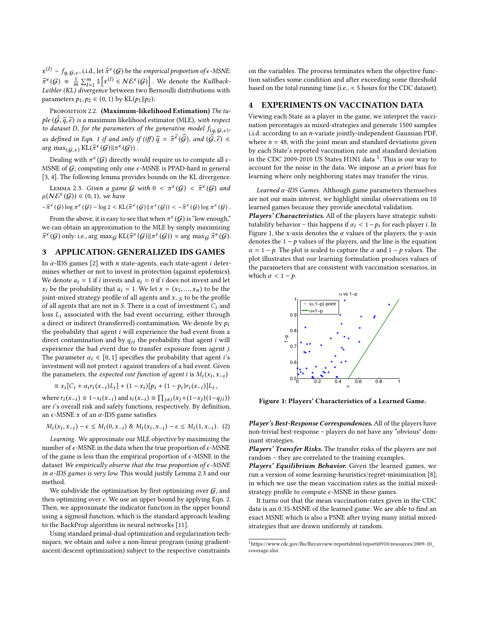$x^{(1)} \sim f_{q,\mathcal{G},\epsilon}$ , i.i.d., let  $\hat{\pi}^{\epsilon}(\mathcal{G})$  be the *empirical proportion of*  $\epsilon$ *-MSNE*:  $\widehat{\pi}^{\epsilon}(\mathcal{G}) = \frac{1}{m} \sum_{i=1}^{m} \mathbb{1}_{\left[ x^{(i)} \in \mathcal{NE}^{\epsilon}(\mathcal{G}) \right]}$ . We denote the Kullback- $\pi^*(\mathcal{G}) = \frac{1}{m} \sum_{i=1}^m \mathbb{1}_{\{X_i^{\epsilon_i} \leq \mathcal{N} \leq \mathcal{G}\}} \mathbb{1}_{\{X_i^{\epsilon_i} \leq \mathcal{G}\}}$ . We denote the *Kultback-*<br>Leibler (KL) divergence between two Bernoulli distributions with parameters  $p_1, p_2 \in (0, 1)$  by KL $(p_1 || p_2)$ .

PROPOSITION 2.2. (Maximum-likelihood Estimation) The tuple  $(\hat{G}, \hat{q}, \hat{\epsilon})$  is a maximum likelihood estimator (MLE), with respect to dataset D, for the parameters of the generative model  $f(q, \mathcal{G}, \epsilon)$ , as defined in Eqn. [1](#page-0-0) if and only if (iff)  $\widehat{q} = \widehat{\pi}^{\widehat{\epsilon}}(\widehat{G})$ , and  $(\widehat{\widehat{G}}, \widehat{\epsilon}) \in \text{OPT}$  and  $(\widehat{G}, \widehat{\epsilon}) \in \text{OPT}$  $\arg \max_{(\mathcal{G}, \epsilon)} \text{KL}(\hat{\pi}^{\epsilon}(\mathcal{G}) || \pi^{\epsilon}(\mathcal{G}))$ .

Dealing with  $\pi^{\epsilon}(\mathcal{G})$  directly would require us to compute all  $\epsilon$ -MSNE of  $G$ ; computing only one  $\epsilon$ -MSNE is PPAD-hard in general [\[3,](#page-2-0) [4\]](#page-2-1). The following lemma provides bounds on the KL divergence.

<span id="page-1-0"></span>LEMMA 2.3. Given a game G with  $0 < \pi^{\epsilon}(G) < \hat{\pi}^{\epsilon}(G)$  and  $N\mathcal{E}^{\epsilon}(G)$  i  $= (0, 1)$  we have  $\mu(N\mathcal{E}^{\epsilon}(\mathcal{G})) \in (0,1)$ , we have

 $-\widehat{\pi}^{\epsilon}(\mathcal{G})\log \pi^{\epsilon}(\mathcal{G}) - \log 2 < \text{KL}(\widehat{\pi}^{\epsilon}(\mathcal{G}) || \pi^{\epsilon}(\mathcal{G})) < -\widehat{\pi}^{\epsilon}(\mathcal{G})\log \pi^{\epsilon}(\mathcal{G}).$ 

From the above, it is easy to see that when  $\pi^{\epsilon}(\mathcal{G})$  is "low enough," we can obtain an approximation to the MLE by simply maximizing  $\widehat{\pi}^{\epsilon}(\mathcal{G})$  only: i.e., arg max $_{\mathcal{G}}$  KL $(\widehat{\pi}^{\epsilon}(\mathcal{G}) || \pi^{\epsilon}(\mathcal{G})) \approx \arg \max_{\mathcal{G}} \widehat{\pi}^{\epsilon}(\mathcal{G})$ .

## 3 APPLICATION: GENERALIZED IDS GAMES

In  $\alpha$ -IDS games [\[2\]](#page-2-2) with *n* state-agents, each state-agent *i* determines whether or not to invest in protection (against epidemics). We denote  $a_i = 1$  if i invests and  $a_i = 0$  if i does not invest and let  $x_i$  be the probability that  $a_i = 1$ . We let  $x = (x_1, ..., x_n)$  to be the joint-mixed strategy profile of all agents and  $x_{-S}$  to be the profile of all agents that are not in S. There is a cost of investment  $C_i$  and loss  $L_i$  associated with the bad event occurring, either through a direct or indirect (transferred) contamination. We denote by  $p_i$ the probability that agent  $i$  will experience the bad event from a direct contamination and by  $q_{ii}$  the probability that agent i will experience the bad event due to transfer exposure from agent j. The parameter  $\alpha_i \in [0, 1]$  specifies the probability that agent *i*'s investment will not protect i against transfers of a bad event. Given the parameters, the *expected cost function of agent i* is  $M_i(x_i, x_{-i})$ 

$$
\equiv x_i [C_i + \alpha_i r_i(x_{-i})L_i] + (1 - x_i)[p_i + (1 - p_i)r_i(x_{-i})]L_i,
$$

where  $r_i(x_{-i}) \equiv 1-s_i(x_{-i})$  and  $s_i(x_{-i}) \equiv \prod_{j \neq i} (x_j+(1-x_j)(1-q_{ji}))$ <br>are i's overall risk and safety functions, respectively. By definition are i's overall risk and safety functions, respectively. By definition, an  $\epsilon$ -MSNE x of an  $\alpha$ -IDS game satisfies

$$
M_i(x_i, x_{-i}) - \epsilon \le M_i(0, x_{-i}) \& M_i(x_i, x_{-i}) - \epsilon \le M_i(1, x_{-i}).
$$
 (2)

Learning. We approximate our MLE objective by maximizing the number of  $\epsilon$ -MSNE in the data when the true proportion of  $\epsilon$ -MSNE of the game is less than the empirical proportion of  $\epsilon$ -MSNE in the dataset We empirically observe that the true proportion of  $\epsilon$ -MSNE in  $\alpha$ -IDS games is very low. This would justify Lemma [2.3](#page-1-0) and our method.

We subdivide the optimization by first optimizing over  $G$ , and then optimizing over  $\epsilon$ . We use an upper bound by applying Eqn. [2.](#page-1-1) Then, we approximate the indicator function in the upper bound using a sigmoid function, which is the standard approach leading to the BackProp algorithm in neural networks [\[11\]](#page-2-3).

Using standard primal-dual optimization and regularization techniques, we obtain and solve a non-linear program (using gradientascent/descent optimization) subject to the respective constraints

on the variables. The process terminates when the objective function satisfies some condition and after exceeding some threshold based on the total running time (i.e.,  $\approx$  5 hours for the CDC dataset).

## 4 EXPERIMENTS ON VACCINATION DATA

Viewing each State as a player in the game, we interpret the vaccination percentages as mixed-strategies and generate 1500 samples i.i.d. according to an n-variate jointly-independent Gaussian PDF, where  $n = 48$ , with the joint mean and standard deviations given by each State's reported vaccination rate and standard deviation in the CDC 2009-20[1](#page-1-2)0 US States H1N1 data  $^1$ . This is our way to account for the noise in the data. We impose an a priori bias for learning where only neighboring states may transfer the virus.

Learned  $\alpha$ -IDS Games. Although game parameters themselves are not our main interest, we highlight similar observations on 10 learned games because they provide anecdotal validation.

Players' Characteristics. All of the players have strategic substitutability behavior – this happens if  $\alpha_i$  < 1 –  $p_i$  for each player *i*. In Figure [1,](#page-1-3) the x-axis denotes the  $\alpha$  values of the players, the y-axis denotes the  $1 - p$  values of the players, and the line is the equation  $\alpha = 1 - p$ . The plot is scaled to capture the  $\alpha$  and  $1 - p$  values. The plot illustrates that our learning formulation produces values of the parameters that are consistent with vaccination scenarios, in which  $\alpha < 1 - p$ .

<span id="page-1-3"></span>

Figure 1: Players' Characteristics of a Learned Game.

<span id="page-1-1"></span>non-trivial best-response – players do not have any "obvious" dom-Player's Best-Response Correspondences. All of the players have inant strategies.

Players' Transfer Risks. The transfer risks of the players are not random – they are correlated to the training examples.

Players' Equilibrium Behavior. Given the learned games, we run a version of some learning-heuristics/regret-minimization [\[8\]](#page-2-4), in which we use the mean vaccination rates as the initial mixedstrategy profile to compute  $\epsilon$ -MSNE in these games.

It turns out that the mean vaccination-rates given in the CDC data is an <sup>0</sup>.35-MSNE of the learned game. We are able to find an exact MSNE which is also a PSNE after trying many initial mixedstrategies that are drawn uniformly at random.

<span id="page-1-2"></span> $^1$ [https://www.cdc.gov/flu/fluvaxview/reportshtml/reporti0910/resources/2009-10\\_](https://www.cdc.gov/flu/fluvaxview/reportshtml/reporti0910/resources/2009-10_coverage.xlsx) [coverage.xlsx](https://www.cdc.gov/flu/fluvaxview/reportshtml/reporti0910/resources/2009-10_coverage.xlsx)